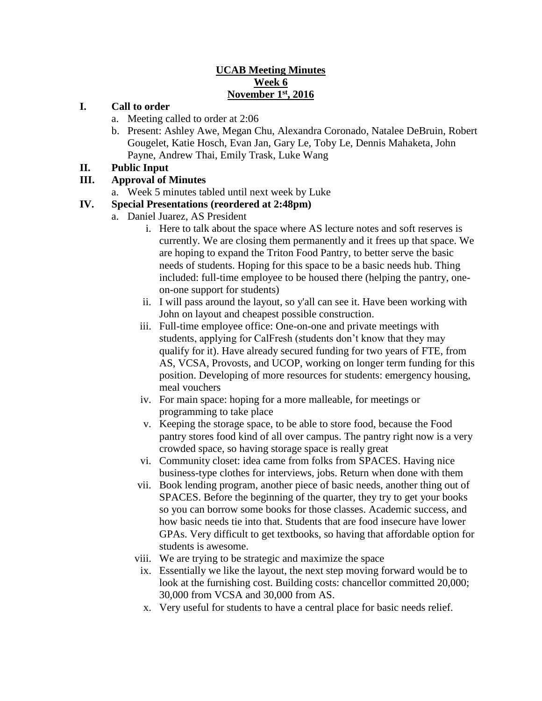### **UCAB Meeting Minutes Week 6 November 1st, 2016**

#### **I. Call to order**

- a. Meeting called to order at 2:06
- b. Present: Ashley Awe, Megan Chu, Alexandra Coronado, Natalee DeBruin, Robert Gougelet, Katie Hosch, Evan Jan, Gary Le, Toby Le, Dennis Mahaketa, John Payne, Andrew Thai, Emily Trask, Luke Wang

#### **II. Public Input**

### **III. Approval of Minutes**

a. Week 5 minutes tabled until next week by Luke

### **IV. Special Presentations (reordered at 2:48pm)**

- a. Daniel Juarez, AS President
	- i. Here to talk about the space where AS lecture notes and soft reserves is currently. We are closing them permanently and it frees up that space. We are hoping to expand the Triton Food Pantry, to better serve the basic needs of students. Hoping for this space to be a basic needs hub. Thing included: full-time employee to be housed there (helping the pantry, oneon-one support for students)
	- ii. I will pass around the layout, so y'all can see it. Have been working with John on layout and cheapest possible construction.
	- iii. Full-time employee office: One-on-one and private meetings with students, applying for CalFresh (students don't know that they may qualify for it). Have already secured funding for two years of FTE, from AS, VCSA, Provosts, and UCOP, working on longer term funding for this position. Developing of more resources for students: emergency housing, meal vouchers
	- iv. For main space: hoping for a more malleable, for meetings or programming to take place
	- v. Keeping the storage space, to be able to store food, because the Food pantry stores food kind of all over campus. The pantry right now is a very crowded space, so having storage space is really great
	- vi. Community closet: idea came from folks from SPACES. Having nice business-type clothes for interviews, jobs. Return when done with them
	- vii. Book lending program, another piece of basic needs, another thing out of SPACES. Before the beginning of the quarter, they try to get your books so you can borrow some books for those classes. Academic success, and how basic needs tie into that. Students that are food insecure have lower GPAs. Very difficult to get textbooks, so having that affordable option for students is awesome.
	- viii. We are trying to be strategic and maximize the space
	- ix. Essentially we like the layout, the next step moving forward would be to look at the furnishing cost. Building costs: chancellor committed 20,000; 30,000 from VCSA and 30,000 from AS.
	- x. Very useful for students to have a central place for basic needs relief.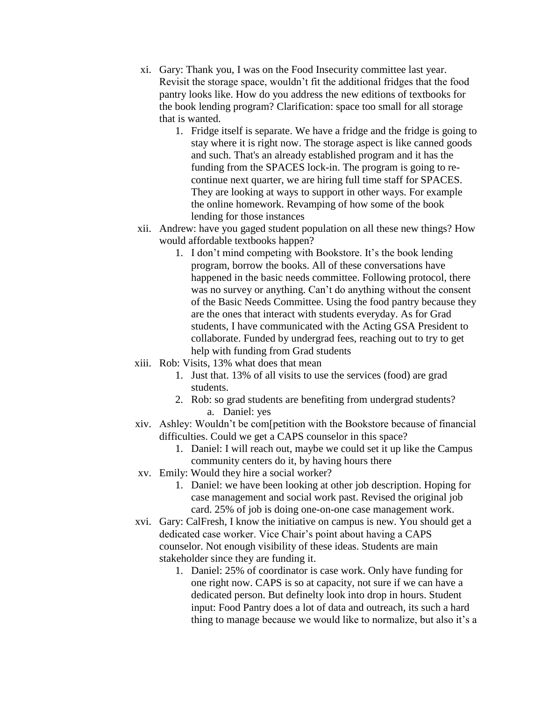- xi. Gary: Thank you, I was on the Food Insecurity committee last year. Revisit the storage space, wouldn't fit the additional fridges that the food pantry looks like. How do you address the new editions of textbooks for the book lending program? Clarification: space too small for all storage that is wanted.
	- 1. Fridge itself is separate. We have a fridge and the fridge is going to stay where it is right now. The storage aspect is like canned goods and such. That's an already established program and it has the funding from the SPACES lock-in. The program is going to recontinue next quarter, we are hiring full time staff for SPACES. They are looking at ways to support in other ways. For example the online homework. Revamping of how some of the book lending for those instances
- xii. Andrew: have you gaged student population on all these new things? How would affordable textbooks happen?
	- 1. I don't mind competing with Bookstore. It's the book lending program, borrow the books. All of these conversations have happened in the basic needs committee. Following protocol, there was no survey or anything. Can't do anything without the consent of the Basic Needs Committee. Using the food pantry because they are the ones that interact with students everyday. As for Grad students, I have communicated with the Acting GSA President to collaborate. Funded by undergrad fees, reaching out to try to get help with funding from Grad students
- xiii. Rob: Visits, 13% what does that mean
	- 1. Just that. 13% of all visits to use the services (food) are grad students.
	- 2. Rob: so grad students are benefiting from undergrad students? a. Daniel: yes
- xiv. Ashley: Wouldn't be com[petition with the Bookstore because of financial difficulties. Could we get a CAPS counselor in this space?
	- 1. Daniel: I will reach out, maybe we could set it up like the Campus community centers do it, by having hours there
- xv. Emily: Would they hire a social worker?
	- 1. Daniel: we have been looking at other job description. Hoping for case management and social work past. Revised the original job card. 25% of job is doing one-on-one case management work.
- xvi. Gary: CalFresh, I know the initiative on campus is new. You should get a dedicated case worker. Vice Chair's point about having a CAPS counselor. Not enough visibility of these ideas. Students are main stakeholder since they are funding it.
	- 1. Daniel: 25% of coordinator is case work. Only have funding for one right now. CAPS is so at capacity, not sure if we can have a dedicated person. But definelty look into drop in hours. Student input: Food Pantry does a lot of data and outreach, its such a hard thing to manage because we would like to normalize, but also it's a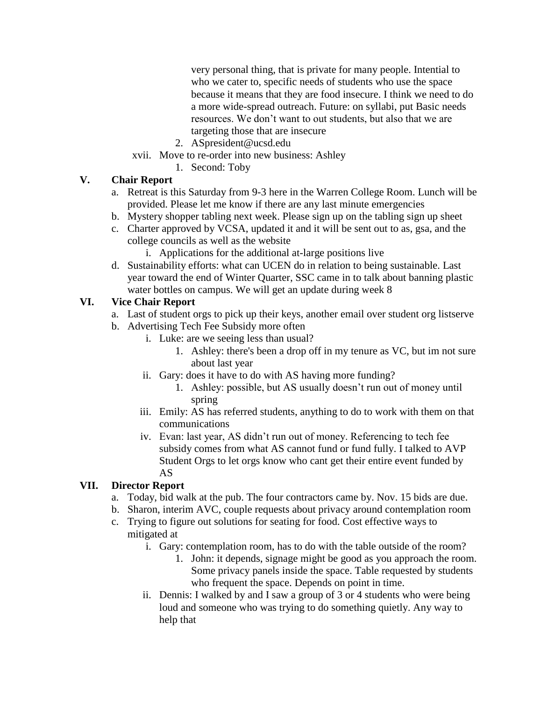very personal thing, that is private for many people. Intential to who we cater to, specific needs of students who use the space because it means that they are food insecure. I think we need to do a more wide-spread outreach. Future: on syllabi, put Basic needs resources. We don't want to out students, but also that we are targeting those that are insecure

- 2. ASpresident@ucsd.edu
- xvii. Move to re-order into new business: Ashley
	- 1. Second: Toby

# **V. Chair Report**

- a. Retreat is this Saturday from 9-3 here in the Warren College Room. Lunch will be provided. Please let me know if there are any last minute emergencies
- b. Mystery shopper tabling next week. Please sign up on the tabling sign up sheet
- c. Charter approved by VCSA, updated it and it will be sent out to as, gsa, and the college councils as well as the website
	- i. Applications for the additional at-large positions live
- d. Sustainability efforts: what can UCEN do in relation to being sustainable. Last year toward the end of Winter Quarter, SSC came in to talk about banning plastic water bottles on campus. We will get an update during week 8

# **VI. Vice Chair Report**

- a. Last of student orgs to pick up their keys, another email over student org listserve
- b. Advertising Tech Fee Subsidy more often
	- i. Luke: are we seeing less than usual?
		- 1. Ashley: there's been a drop off in my tenure as VC, but im not sure about last year
	- ii. Gary: does it have to do with AS having more funding?
		- 1. Ashley: possible, but AS usually doesn't run out of money until spring
	- iii. Emily: AS has referred students, anything to do to work with them on that communications
	- iv. Evan: last year, AS didn't run out of money. Referencing to tech fee subsidy comes from what AS cannot fund or fund fully. I talked to AVP Student Orgs to let orgs know who cant get their entire event funded by AS

# **VII. Director Report**

- a. Today, bid walk at the pub. The four contractors came by. Nov. 15 bids are due.
- b. Sharon, interim AVC, couple requests about privacy around contemplation room
- c. Trying to figure out solutions for seating for food. Cost effective ways to mitigated at
	- i. Gary: contemplation room, has to do with the table outside of the room?
		- 1. John: it depends, signage might be good as you approach the room. Some privacy panels inside the space. Table requested by students who frequent the space. Depends on point in time.
	- ii. Dennis: I walked by and I saw a group of 3 or 4 students who were being loud and someone who was trying to do something quietly. Any way to help that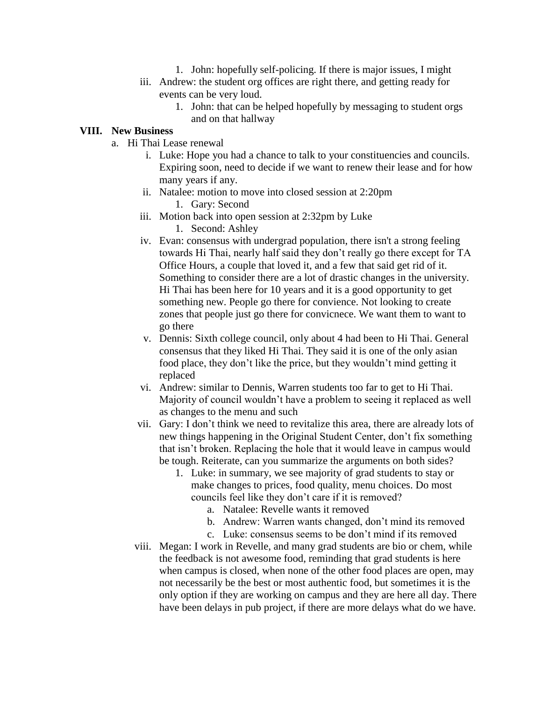- 1. John: hopefully self-policing. If there is major issues, I might
- iii. Andrew: the student org offices are right there, and getting ready for events can be very loud.
	- 1. John: that can be helped hopefully by messaging to student orgs and on that hallway

#### **VIII. New Business**

- a. Hi Thai Lease renewal
	- i. Luke: Hope you had a chance to talk to your constituencies and councils. Expiring soon, need to decide if we want to renew their lease and for how many years if any.
	- ii. Natalee: motion to move into closed session at 2:20pm
		- 1. Gary: Second
	- iii. Motion back into open session at 2:32pm by Luke
		- 1. Second: Ashley
	- iv. Evan: consensus with undergrad population, there isn't a strong feeling towards Hi Thai, nearly half said they don't really go there except for TA Office Hours, a couple that loved it, and a few that said get rid of it. Something to consider there are a lot of drastic changes in the university. Hi Thai has been here for 10 years and it is a good opportunity to get something new. People go there for convience. Not looking to create zones that people just go there for convicnece. We want them to want to go there
	- v. Dennis: Sixth college council, only about 4 had been to Hi Thai. General consensus that they liked Hi Thai. They said it is one of the only asian food place, they don't like the price, but they wouldn't mind getting it replaced
	- vi. Andrew: similar to Dennis, Warren students too far to get to Hi Thai. Majority of council wouldn't have a problem to seeing it replaced as well as changes to the menu and such
	- vii. Gary: I don't think we need to revitalize this area, there are already lots of new things happening in the Original Student Center, don't fix something that isn't broken. Replacing the hole that it would leave in campus would be tough. Reiterate, can you summarize the arguments on both sides?
		- 1. Luke: in summary, we see majority of grad students to stay or make changes to prices, food quality, menu choices. Do most councils feel like they don't care if it is removed?
			- a. Natalee: Revelle wants it removed
			- b. Andrew: Warren wants changed, don't mind its removed
			- c. Luke: consensus seems to be don't mind if its removed
	- viii. Megan: I work in Revelle, and many grad students are bio or chem, while the feedback is not awesome food, reminding that grad students is here when campus is closed, when none of the other food places are open, may not necessarily be the best or most authentic food, but sometimes it is the only option if they are working on campus and they are here all day. There have been delays in pub project, if there are more delays what do we have.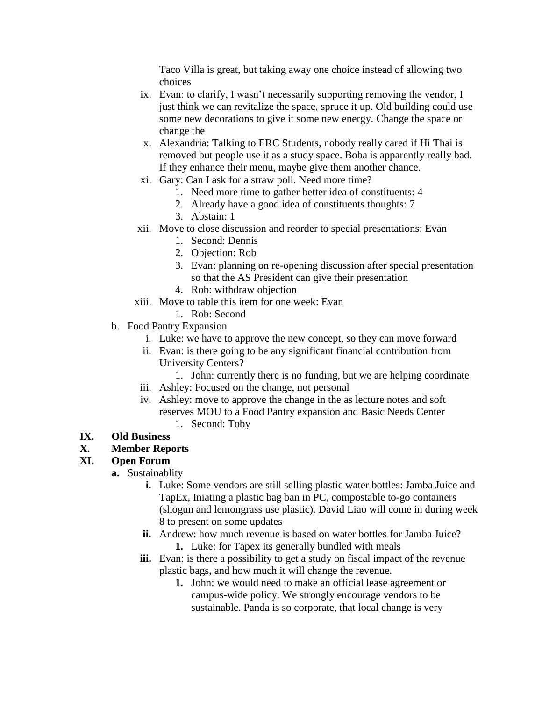Taco Villa is great, but taking away one choice instead of allowing two choices

- ix. Evan: to clarify, I wasn't necessarily supporting removing the vendor, I just think we can revitalize the space, spruce it up. Old building could use some new decorations to give it some new energy. Change the space or change the
- x. Alexandria: Talking to ERC Students, nobody really cared if Hi Thai is removed but people use it as a study space. Boba is apparently really bad. If they enhance their menu, maybe give them another chance.
- xi. Gary: Can I ask for a straw poll. Need more time?
	- 1. Need more time to gather better idea of constituents: 4
	- 2. Already have a good idea of constituents thoughts: 7
	- 3. Abstain: 1
- xii. Move to close discussion and reorder to special presentations: Evan
	- 1. Second: Dennis
	- 2. Objection: Rob
	- 3. Evan: planning on re-opening discussion after special presentation so that the AS President can give their presentation
	- 4. Rob: withdraw objection
- xiii. Move to table this item for one week: Evan
	- 1. Rob: Second
- b. Food Pantry Expansion
	- i. Luke: we have to approve the new concept, so they can move forward
	- ii. Evan: is there going to be any significant financial contribution from University Centers?
		- 1. John: currently there is no funding, but we are helping coordinate
	- iii. Ashley: Focused on the change, not personal
	- iv. Ashley: move to approve the change in the as lecture notes and soft reserves MOU to a Food Pantry expansion and Basic Needs Center 1. Second: Toby

# **IX. Old Business**

### **X. Member Reports**

### **XI. Open Forum**

- **a.** Sustainablity
	- **i.** Luke: Some vendors are still selling plastic water bottles: Jamba Juice and TapEx, Iniating a plastic bag ban in PC, compostable to-go containers (shogun and lemongrass use plastic). David Liao will come in during week 8 to present on some updates
	- **ii.** Andrew: how much revenue is based on water bottles for Jamba Juice? **1.** Luke: for Tapex its generally bundled with meals
	- **iii.** Evan: is there a possibility to get a study on fiscal impact of the revenue plastic bags, and how much it will change the revenue.
		- **1.** John: we would need to make an official lease agreement or campus-wide policy. We strongly encourage vendors to be sustainable. Panda is so corporate, that local change is very